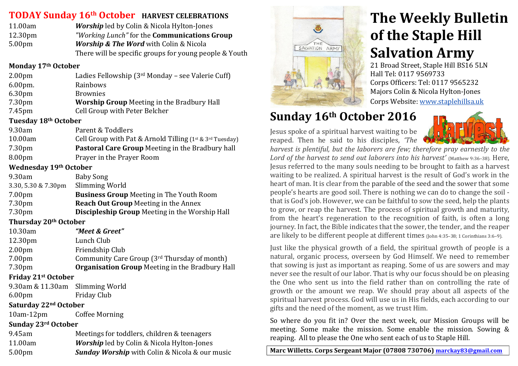### **TODAY Sunday 16th October HARVEST** CELEBRATIONS

| 11.00am             | <b>Worship</b> led by Colin & Nicola Hylton-Jones          |
|---------------------|------------------------------------------------------------|
| 12.30 <sub>pm</sub> | <i>"Working Lunch"</i> for the <b>Communications Group</b> |
| 5.00 <sub>pm</sub>  | <b>Worship &amp; The Word</b> with Colin & Nicola          |
|                     | There will be specific groups for young people & Youth     |

#### **Monday&17th October**

| 2.00 <sub>pm</sub> | Ladies Fellowship (3 <sup>rd</sup> Monday - see Valerie Cuff) |  |
|--------------------|---------------------------------------------------------------|--|

| $6.00pm$ .         | Rainbows                                          |
|--------------------|---------------------------------------------------|
| 6.30 <sub>pm</sub> | <b>Brownies</b>                                   |
| 7.30pm             | <b>Worship Group Meeting in the Bradbury Hall</b> |
| 7.45pm             | Cell Group with Peter Belcher                     |

#### **Tuesday&18th October**

| 9.30am             | Parent & Toddlers                                                 |
|--------------------|-------------------------------------------------------------------|
| 10.00am            | Cell Group with Pat & Arnold Tilling $(1^{st} \& 3^{rd}$ Tuesday) |
| 7.30pm             | <b>Pastoral Care Group</b> Meeting in the Bradbury hall           |
| 8.00 <sub>pm</sub> | Prayer in the Prayer Room                                         |

#### **Wednesday&19th October**

| 9.30am              | <b>Baby Song</b>                                      |
|---------------------|-------------------------------------------------------|
| 3.30, 5.30 & 7.30pm | Slimming World                                        |
| 7.00 <sub>pm</sub>  | <b>Business Group Meeting in The Youth Room</b>       |
| 7.30 <sub>pm</sub>  | <b>Reach Out Group</b> Meeting in the Annex           |
| 7.30 <sub>pm</sub>  | <b>Discipleship Group</b> Meeting in the Worship Hall |
|                     |                                                       |

#### **Thursday&20th October**

| 10.30am            | "Meet & Greet"                                         |
|--------------------|--------------------------------------------------------|
| 12.30pm            | Lunch Club                                             |
| 2.00 <sub>pm</sub> | Friendship Club                                        |
| 7.00 <sub>pm</sub> | Community Care Group (3rd Thursday of month)           |
| 7.30 <sub>pm</sub> | <b>Organisation Group</b> Meeting in the Bradbury Hall |

#### **Friday&21st October**

| Saturday 22 <sup>nd</sup> October |             |  |
|-----------------------------------|-------------|--|
| 6.00 <sub>pm</sub>                | Friday Club |  |
| 9.30am & 11.30am Slimming World   |             |  |
|                                   |             |  |

# 10am-12pm Coffee Morning

### **Sunday&23rd October**

| 9.45am             | Meetings for toddlers, children & teenagers           |
|--------------------|-------------------------------------------------------|
| 11.00am            | <b>Worship</b> led by Colin & Nicola Hylton-Jones     |
| 5.00 <sub>pm</sub> | <b>Sunday Worship</b> with Colin & Nicola & our music |
|                    |                                                       |



# **The Weekly Bulletin of the Staple Hill Salvation Army**

21 Broad Street, Staple Hill BS16 5LN Hall Tel: 0117 9569733 Corps Officers: Tel: 0117 9565232 Majors Colin & Nicola Hylton-Jones Corps Website: www.staplehillsa.uk

# **Sunday 16th October 2016**

Jesus spoke of a spiritual harvest waiting to be reaped. Then he said to his disciples, *'The* 



*harvest is plentiful, but the laborers are few; therefore pray earnestly to the Lord of the harvest to send out laborers into his harvest'* (Matthew 9:36-38). Here, Jesus referred to the many souls needing to be brought to faith as a harvest waiting to be realized. A spiritual harvest is the result of God's work in the heart of man. It is clear from the parable of the seed and the sower that some people's hearts are good soil. There is nothing we can do to change the soil that is God's job. However, we can be faithful to sow the seed, help the plants to grow, or reap the harvest. The process of spiritual growth and maturity, from the heart's regeneration to the recognition of faith, is often a long journey. In fact, the Bible indicates that the sower, the tender, and the reaper are likely to be different people at different times (John 4:35–38; 1 Corinthians 3:6–9).

Just like the physical growth of a field, the spiritual growth of people is a natural, organic process, overseen by God Himself. We need to remember that sowing is just as important as reaping. Some of us are sowers and may never see the result of our labor. That is why our focus should be on pleasing the One who sent us into the field rather than on controlling the rate of growth or the amount we reap. We should pray about all aspects of the spiritual harvest process. God will use us in His fields, each according to our gifts and the need of the moment, as we trust Him.

So where do you fit in? Over the next week, our Mission Groups will be meeting. Some make the mission. Some enable the mission. Sowing  $&$ reaping. All to please the One who sent each of us to Staple Hill.

Marc Willetts. Corps Sergeant Major (07808 730706) marckay83@gmail.com